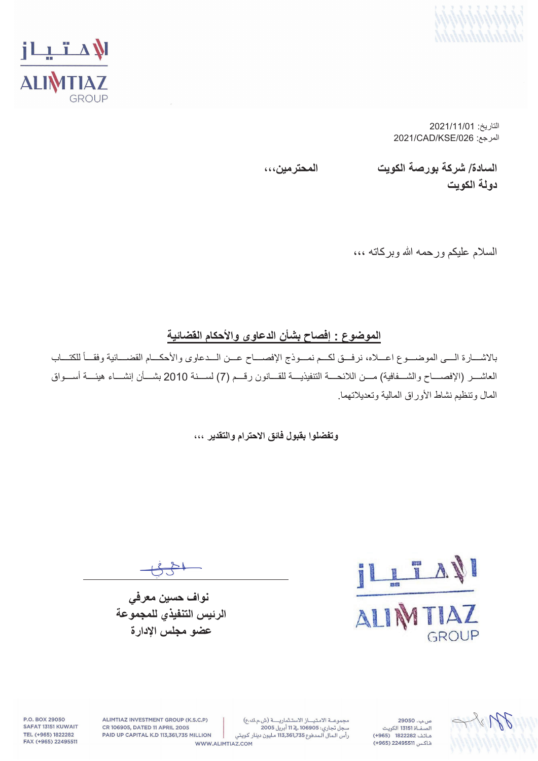



التاريخ: 2021/11/01  $2021$ /CAD/KSE/026 المرجع:

السادة/ شركة بورصة الكويت المحتر مين،،،

دو لـة الكوبت

السلام علیکم و رحمه الله و برکاته ،،،

الموضوع : إفصاح بشأن الدعاوى والأحكام القضائية

بالاشـــارة الـــي الموضـــوع اعـــلاه، نرفــق لكـــم نمـــوذج الإفصــــاح عـــن الـــدعاوي والأحكـــام القضــــائية وفقـــأ للكتـــاب العاشـــر (الإفصــــاح والشـــفافية) مـــن اللائحــــة التنفيذيـــة للقـــانون رقـــم (7) لســـنة 2010 بشـــأن إنشـــاء هيئـــة أســــواق المال وتنظيم نشاط الأوراق المالية وتعديلاتهما.

وت**فضلوا بِفَبِولِ فَ**ائقِ الاحترام والتقديرِ ،،،

ILITANI ALIMTIAZ GROUP

<mark>ن</mark>واف حسین معرف*ی* الرئيس التنفيذي للمجموعة عضو مجلس الإدار**ة** 

 $\sqrt{2}$ 

ص ب. 29050 هاتف 1822282 (965+) فاكس 22495511 (965+)

مجموعة الامتياز الاستثمارية (ش.م.ك.ع) .<br>سجل تجاري: 106905 <u>به</u> 11 أبريل 2005 رأس المال المدفوع 113,361,735 مليون دينار كويتي

ALIMTIAZ INVESTMENT GROUP (K.S.C.P) CR 106905, DATED 11 APRIL 2005 PAID UP CAPITAL K.D 113,361,735 MILLION WWW.ALIMTIAZ.COM

P.O. BOX 29050 SAFAT 13151 KUWAIT TEL (+965) 1822282 FAX (+965) 22495511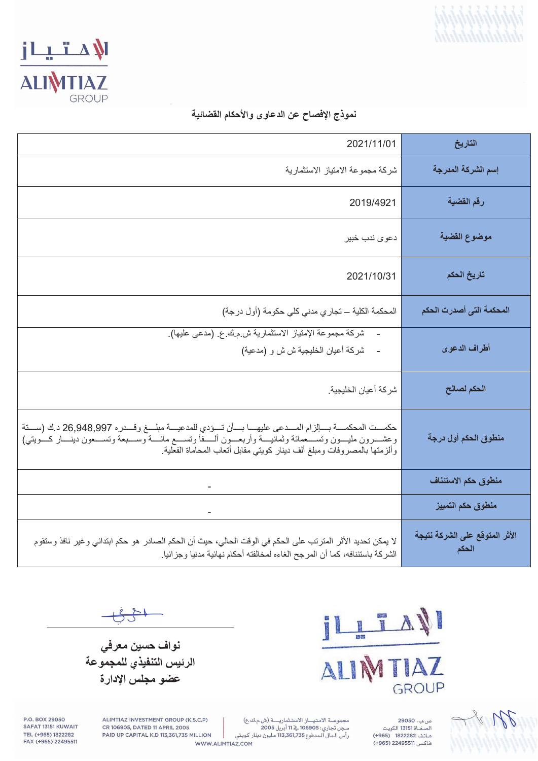



## نموذج الإفصاح عن الدعاوى والأحكام ال<mark>قض</mark>ائية

| 2021/11/01                                                                                                                                                                                                                                                                                 | التاريخ                                 |
|--------------------------------------------------------------------------------------------------------------------------------------------------------------------------------------------------------------------------------------------------------------------------------------------|-----------------------------------------|
| شركة مجموعة الامتياز الاستثمارية                                                                                                                                                                                                                                                           | إسم الشركة المدرجة                      |
| 2019/4921                                                                                                                                                                                                                                                                                  | رقم القضية                              |
| دعوى ندب خبير                                                                                                                                                                                                                                                                              | موضوع القضية                            |
| 2021/10/31                                                                                                                                                                                                                                                                                 | تاريخ الحكم                             |
| المحكمة الكلية — تجاري مدني كلي حكومة (أول درجة)                                                                                                                                                                                                                                           | المحكمة التى أصدرت الحكم                |
| شركة مجموعة الإمتياز الاستثمارية ش.م.ك.ع. (مدعى عليها).<br>$\sim$<br>شركة أعيان الخليجية ش ش و (مدعية)                                                                                                                                                                                     | أطراف الدعوى                            |
| شركة أعيان الخليجية.                                                                                                                                                                                                                                                                       | الحكم لصالح                             |
| حكمـــت المحكمـــة بــــإلزام المـــدعى عليهـــا بـــأن تـــودي للمدعيـــة مبلـــغ وقـــدره 26,948,997 د.ك (ســـتة<br>وعشسرون مليسون وتسسعمائة وثمانيسة وأربعسون ألسفأ وتسسع مائسة وسسبعة وتسسعون دينسار كسويتي)<br>وألزمتها بالمصروفات ومبلغ ألف دينار كويتي مقابل أتعاب المحاماة الفعلية | منطوق الحكم أول درجة                    |
|                                                                                                                                                                                                                                                                                            | منطوق حكم الاستئناف                     |
|                                                                                                                                                                                                                                                                                            | منطوق حكم التمييز                       |
| لا يمكن تحديد الأثر  المتر تب على الحكم في الوقت الحالي، حيث أن الحكم الصـادر  هو حكم ابتدائي و غير  نافذ وستقوم<br>الشركة باستئنافه، كما أن المرجح الغاءه لمخالفته أحكام نهائية مدنيا وجزائيا.                                                                                            | الأثر المتوقع على الشركة نتيجة<br>الحكم |



55

نواف حسين معرف*ي* الرئيس التنفيذي للمجموعة عضو مجلس الإدارة

 $\sqrt{2}$ 

ص ب. 29050 .<br>الصفــاة 13151 الكويت هاتف 1822282 (965+) فاكس 22495511 (965+)

مجموعــة الامـتيــــاز الاستـثماريـــــة (ش.م.ك.ع)<br>سجل تجاري: 106905 ـــة 11 أبريل 2005<br>رأس الـمال الـمدفوع 113,361,735 مليون دينار كـويتي WWW.ALIMTIAZ.COM

ALIMTIAZ INVESTMENT GROUP (K.S.C.P) CR 106905, DATED 11 APRIL 2005 PAID UP CAPITAL K.D 113,361,735 MILLION

P.O. BOX 29050 SAFAT 13151 KUWAIT TEL (+965) 1822282 FAX (+965) 22495511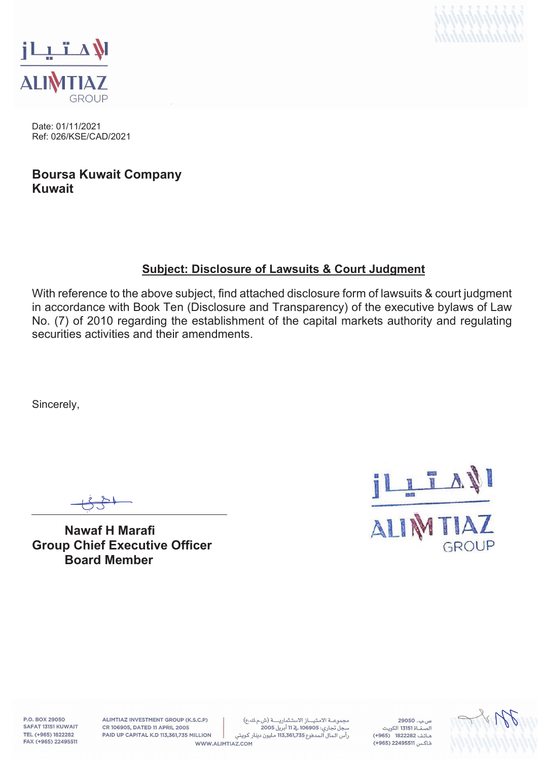



Date: 01/11/2021 Ref: 026/KSE/CAD/2021

## **Boursa Kuwait Company Kuwait**

## **Subject: Disclosure of Lawsuits & Court Judgment**

With reference to the above subject, find attached disclosure form of lawsuits & court judgment in accordance with Book Ten (Disclosure and Transparency) of the executive bylaws of Law No. (7) of 2010 regarding the establishment of the capital markets authority and regulating securities activities and their amendments.

Sincerely,

**Nawaf H Marafi Group Chief Executive Officer Board Member** 



P.O. BOX 29050 SAFAT 13151 KUWAIT TEL (+965) 1822282 FAX (+965) 22495511

ALIMTIAZ INVESTMENT GROUP (K.S.C.P) CR 106905, DATED 11 APRIL 2005 PAID UP CAPITAL K.D 113,361,735 MILLION

مجموعة الامتياز الاستثمارية (ش.م.ك.ع) سجل تجاري: 106905 <u>به</u> 11 أبريل 2005 رأس المال المدفوع 113,361,735 مليون دينار كويتي WWW.ALIMTIAZ.COM

ص.ب. 29050 .<br>الصفــاة 13151 الكويت هاتف 1822282 (965+) فاكس 22495511 (965+)